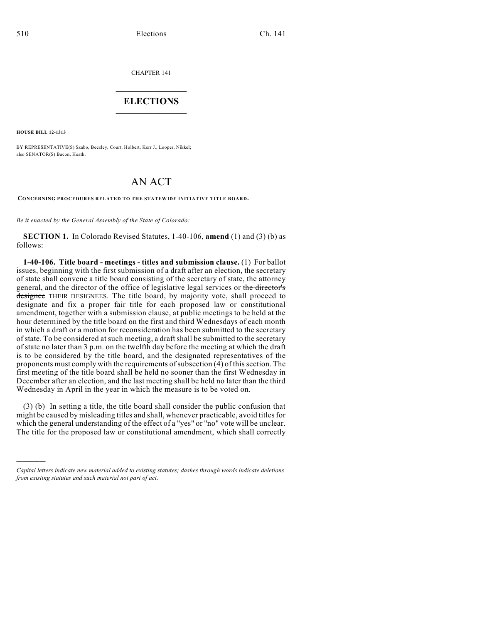CHAPTER 141

## $\overline{\phantom{a}}$  . The set of the set of the set of the set of the set of the set of the set of the set of the set of the set of the set of the set of the set of the set of the set of the set of the set of the set of the set o **ELECTIONS**  $\_$

**HOUSE BILL 12-1313**

)))))

BY REPRESENTATIVE(S) Szabo, Beezley, Court, Holbert, Kerr J., Looper, Nikkel; also SENATOR(S) Bacon, Heath.

## AN ACT

**CONCERNING PROCEDURES RELATED TO THE STATEWIDE INITIATIVE TITLE BOARD.**

*Be it enacted by the General Assembly of the State of Colorado:*

**SECTION 1.** In Colorado Revised Statutes, 1-40-106, **amend** (1) and (3) (b) as follows:

**1-40-106. Title board - meetings - titles and submission clause.** (1) For ballot issues, beginning with the first submission of a draft after an election, the secretary of state shall convene a title board consisting of the secretary of state, the attorney general, and the director of the office of legislative legal services or the director's designee THEIR DESIGNEES. The title board, by majority vote, shall proceed to designate and fix a proper fair title for each proposed law or constitutional amendment, together with a submission clause, at public meetings to be held at the hour determined by the title board on the first and third Wednesdays of each month in which a draft or a motion for reconsideration has been submitted to the secretary of state. To be considered at such meeting, a draftshall be submitted to the secretary of state no later than 3 p.m. on the twelfth day before the meeting at which the draft is to be considered by the title board, and the designated representatives of the proponents must comply with the requirements of subsection (4) of this section. The first meeting of the title board shall be held no sooner than the first Wednesday in December after an election, and the last meeting shall be held no later than the third Wednesday in April in the year in which the measure is to be voted on.

(3) (b) In setting a title, the title board shall consider the public confusion that might be caused by misleading titles and shall, whenever practicable, avoid titles for which the general understanding of the effect of a "yes" or "no" vote will be unclear. The title for the proposed law or constitutional amendment, which shall correctly

*Capital letters indicate new material added to existing statutes; dashes through words indicate deletions from existing statutes and such material not part of act.*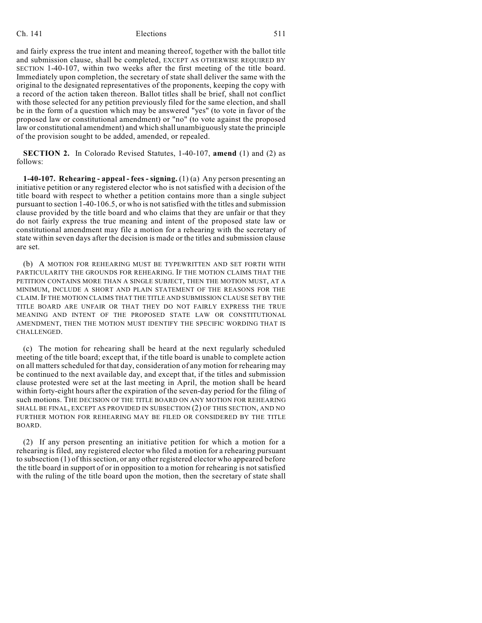## Ch. 141 **Elections** 511

and fairly express the true intent and meaning thereof, together with the ballot title and submission clause, shall be completed, EXCEPT AS OTHERWISE REQUIRED BY SECTION 1-40-107, within two weeks after the first meeting of the title board. Immediately upon completion, the secretary of state shall deliver the same with the original to the designated representatives of the proponents, keeping the copy with a record of the action taken thereon. Ballot titles shall be brief, shall not conflict with those selected for any petition previously filed for the same election, and shall be in the form of a question which may be answered "yes" (to vote in favor of the proposed law or constitutional amendment) or "no" (to vote against the proposed law or constitutional amendment) and which shall unambiguously state the principle of the provision sought to be added, amended, or repealed.

**SECTION 2.** In Colorado Revised Statutes, 1-40-107, **amend** (1) and (2) as follows:

**1-40-107. Rehearing - appeal - fees - signing.** (1) (a) Any person presenting an initiative petition or any registered elector who is not satisfied with a decision of the title board with respect to whether a petition contains more than a single subject pursuant to section 1-40-106.5, or who is notsatisfied with the titles and submission clause provided by the title board and who claims that they are unfair or that they do not fairly express the true meaning and intent of the proposed state law or constitutional amendment may file a motion for a rehearing with the secretary of state within seven days after the decision is made or the titles and submission clause are set.

(b) A MOTION FOR REHEARING MUST BE TYPEWRITTEN AND SET FORTH WITH PARTICULARITY THE GROUNDS FOR REHEARING. IF THE MOTION CLAIMS THAT THE PETITION CONTAINS MORE THAN A SINGLE SUBJECT, THEN THE MOTION MUST, AT A MINIMUM, INCLUDE A SHORT AND PLAIN STATEMENT OF THE REASONS FOR THE CLAIM.IF THE MOTION CLAIMS THAT THE TITLE AND SUBMISSION CLAUSE SET BY THE TITLE BOARD ARE UNFAIR OR THAT THEY DO NOT FAIRLY EXPRESS THE TRUE MEANING AND INTENT OF THE PROPOSED STATE LAW OR CONSTITUTIONAL AMENDMENT, THEN THE MOTION MUST IDENTIFY THE SPECIFIC WORDING THAT IS CHALLENGED.

(c) The motion for rehearing shall be heard at the next regularly scheduled meeting of the title board; except that, if the title board is unable to complete action on all matters scheduled for that day, consideration of any motion for rehearing may be continued to the next available day, and except that, if the titles and submission clause protested were set at the last meeting in April, the motion shall be heard within forty-eight hours after the expiration of the seven-day period for the filing of such motions. THE DECISION OF THE TITLE BOARD ON ANY MOTION FOR REHEARING SHALL BE FINAL, EXCEPT AS PROVIDED IN SUBSECTION (2) OF THIS SECTION, AND NO FURTHER MOTION FOR REHEARING MAY BE FILED OR CONSIDERED BY THE TITLE BOARD.

(2) If any person presenting an initiative petition for which a motion for a rehearing is filed, any registered elector who filed a motion for a rehearing pursuant to subsection (1) of thissection, or any other registered elector who appeared before the title board in support of or in opposition to a motion for rehearing is not satisfied with the ruling of the title board upon the motion, then the secretary of state shall